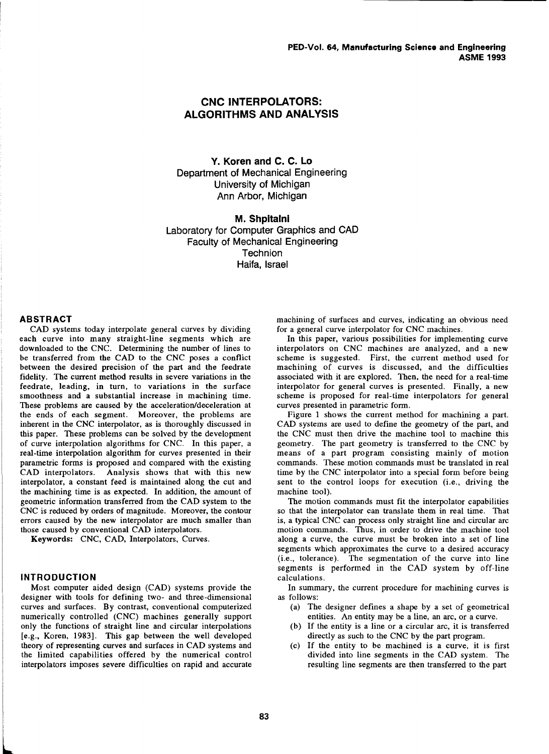# **CNC INTERPOLATORS: ALGORITHMS AND ANALYSIS**

**Y. Koren and C. C. Lo**  Department of Mechanical Engineering University of Michigan Ann Arbor, Michigan

**M. Shpitalni**  Laboratory for Computer Graphics and CAD Faculty of Mechanical Engineering **Technion** Haifa, Israel

#### **ABSTRACT**

CAD systems today interpolate general curves by dividing each curve into many straight-line segments which are downloaded to the CNC. Determining the number of lines to be transferred from the CAD to the CNC poses a conflict between the desired precision of the part and the feedrate fidelity. The current method results in severe variations in the feedrate, leading, in turn, to variations in the surface smoothness and a substantial increase in machining time. These problems are caused by the acceleration/deceleration at the ends of each segment. Moreover, the problems are inherent in the CNC interpolator, as is thoroughly discussed in this paper. These problems can be solved by the development of curve interpolation algorithms for CNC. In this paper, a real-time interpolation algorithm for curves presented in their parametric forms is proposed and compared with the existing CAD interpolators. Analysis shows that with this new interpolator, a constant feed is maintained along the cut and the machining time is as expected. In addition, the amount of geometric information transferred from the CAD system to the CNC is reduced by orders of magnitude. Moreover, the contour errors caused by the new interpolator are much smaller than those caused by conventional CAD interpolators.

Keywords: CNC, CAD, Interpolators, Curves.

### **INTRODUCTION**

Most computer aided design (CAD) systems provide the designer with tools for defining two- and three-dimensional curves and surfaces. By contrast, conventional computerized numerically controlled (CNC) machines generally support only the functions of straight line and circular interpolations [e.g., Koren, 1983]. This gap between the well developed theory of representing curves and surfaces in CAD systems and the limited capabilities offered by the numerical control interpolators imposes severe difficulties on rapid and accurate

machining of surfaces and curves, indicating an obvious need for a general curve interpolator for CNC machines.

In this paper, various possibilities for implementing curve interpolators on CNC machines are analyzed, and a new scheme is suggested. First, the current method used for machining of curves is discussed, and the difficulties associated with it are explored. Then, the need for a real-time interpolator for general curves is presented. Finally, a new scheme is proposed for real-time interpolators for general curves presented in parametric form.

Figure 1 shows the current method for machining a part. CAD systems are used to define the geometry of the part, and the CNC must then drive the machine tool to machine this geometry. The part geometry is transferred to the CNC by means of a part program consisting mainly of motion commands. These motion commands must be translated in real time by the CNC interpolator into a special form before being sent to the control loops for execution (i.e., driving the machine tool).

The motion commands must fit the interpolator capabilities so that the interpolator can translate them in real time. That is, a typical CNC can process only straight line and circular arc motion commands. Thus, in order to drive the machine tool along a curve, the curve must be broken into a set of line segments which approximates the curve to a desired accuracy (i.e., tolerance). The segmentation of the curve into line segments is performed in the CAD system by off-line calculations.

In summary, the current procedure for machining curves is as follows:

- (a) The designer defines a shape by a set of geometrical entities. An entity may be a line, an arc, or a curve.
- (b) If the entity is a line or a circular arc, it is transferred directly as such to the CNC by the part program.
- (c) If the entity to be machined is a curve, it is first divided into line segments in the CAD system. The resulting line segments are then transferred to the part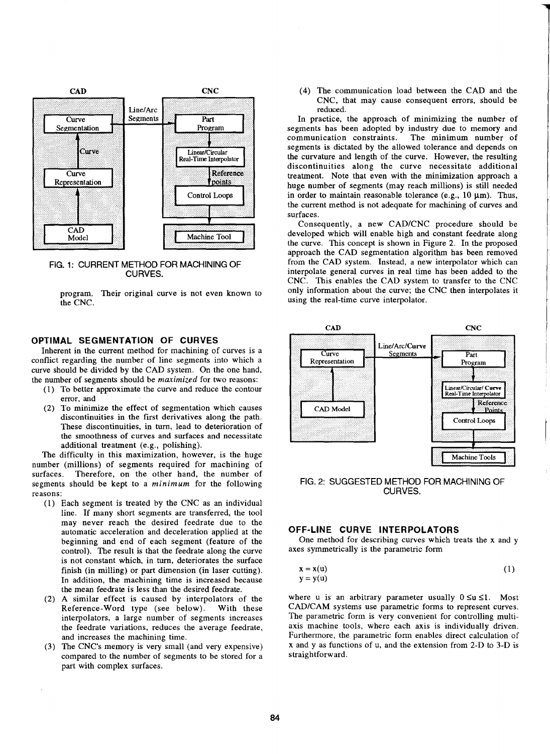

FIG. 1: CURRENT METHOD FOR MACHINING OF CURVES.

program. Their original curve is not even known to the CNC.

#### **OPTIMAL SEGMENTATION OF CURVES**

Inherent in the current method for machining of curves is a conflict regarding the number of line segments into which a curve should be divided by the CAD system. On the one hand, the number of segments should be *maximized* for two reasons:

- ( l) To better approximate the curve and reduce the contour error, and
- (2) To minimize the effect of segmentation which causes discontinuities in the first derivatives along the path. These discontinuities, in turn, lead to deterioration of the smoothness of curves and surfaces and necessitate additional treatment (e.g., polishing).

The difficulty in this maximization, however, is the huge number (millions) of segments required for machining of surfaces. Therefore, on the other hand, the number of segments should be kept to a *minimum* for the following reasons:

- ( 1) Each segment is treated by the CNC as an individual line. If many short segments are transferred, the tool may never reach the desired feedrate due to the automatic acceleration and deceleration applied at the beginning and end of each segment (feature of the control). The result is that the feedrate along the curve is not constant which, in turn, deteriorates the surface finish (in milling) or part dimension (in laser cutting). In addition, the machining time is increased because the mean feedrate is less than the desired feedrate.
- (2) A similar effect is caused by interpolators of the Reference-Word type (see below). With these interpolators, a large number of segments increases the feedrate variations, reduces the average feedrate, and increases the machining time.
- (3) The CNC's memory is very small (and very expensive) compared to the number of segments to be stored for a part with complex surfaces.

(4) The communication load between the CAD and the CNC, that may cause consequent errors, should be reduced.

In practice, the approach of minimizing the number of segments has been adopted by industry due to memory and communication constraints. The minimum number of communication constraints. segments is dictated by the allowed tolerance and depends on the curvature and length of the curve. However, the resulting discontinuities along the curve necessitate additional treatment. Note that even with the minimization approach a huge number of segments (may reach millions) is still needed in order to maintain reasonable tolerance (e.g.,  $10 \mu m$ ). Thus, the current method is not adequate for machining of curves and surfaces.

Consequently, a new CAD/CNC procedure should be developed which will enable high and constant feedrate along the curve. This concept is shown in Figure 2. In the proposed approach the CAD segmentation algorithm has been removed from the CAD system. Instead, a new interpolator which can interpolate general curves in real time has been added to the CNC. This enables the CAD system to transfer to the CNC only information about the curve; the CNC then interpolates it using the real-time curve interpolator.



FIG. 2: SUGGESTED METHOD FOR MACHINING OF CURVES.

#### **OFF-LINE CURVE INTERPOLATORS**

One method for describing curves which treats the x and y axes symmetrically is the parametric form

$$
\mathbf{x} = \mathbf{x}(\mathbf{u}) \tag{1}
$$

$$
\mathbf{y} = \mathbf{y}(\mathbf{u}) \tag{2}
$$

where u is an arbitrary parameter usually  $0 \le u \le 1$ . Most CAD/CAM systems use parametric forms to represent curves. The parametric form is very convenient for controlling multiaxis machine tools, where each axis is individually driven. Furthermore, the parametric form enables direct calculation of x and y as functions of u, and the extension from 2-D to 3-D is straightforward.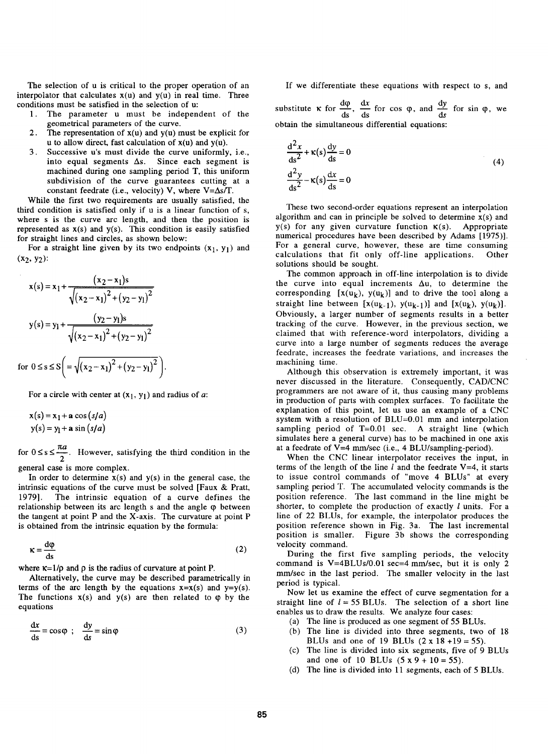The selection of u is critical to the proper operation of an interpolator that calculates  $x(u)$  and  $y(u)$  in real time. Three conditions must be satisfied in the selection of u:

- 1. The parameter u must be independent of the geometrical parameters of the curve.
- 2. The representation of  $x(u)$  and  $y(u)$  must be explicit for u to allow direct, fast calculation of  $x(u)$  and  $y(u)$ .
- 3. Successive u's must divide the curve uniformly, i.e., into equal segments  $\Delta s$ . Since each segment is machined during one sampling period T, this uniform subdivision of the curve guarantees cutting at a constant feedrate (i.e., velocity) V, where  $V = \Delta s / T$ .

While the first two requirements are usually satisfied, the third condition is satisfied only if u is a linear function of s, where s is the curve arc length, and then the position is represented as  $x(s)$  and  $y(s)$ . This condition is easily satisfied for straight lines and circles, as shown below:

For a straight line given by its two endpoints  $(x_1, y_1)$  and  $(x_2, y_2)$ :

$$
x(s) = x_1 + \frac{(x_2 - x_1)s}{\sqrt{(x_2 - x_1)^2 + (y_2 - y_1)^2}}
$$
  

$$
y(s) = y_1 + \frac{(y_2 - y_1)s}{\sqrt{(x_2 - x_1)^2 + (y_2 - y_1)^2}}
$$
  
for  $0 \le s \le S \left( \frac{1}{\sqrt{(x_2 - x_1)^2 + (y_2 - y_1)^2}} \right)$ 

For a circle with center at  $(x_1, y_1)$  and radius of *a*:

$$
x(s) = x1 + a cos (s/a)
$$
  
y(s) = y<sub>1</sub> + a sin (s/a)

for  $0 \le s \le \frac{\pi a}{2}$ . However, satisfying the third condition in the

general case is more complex.

In order to determine  $x(s)$  and  $y(s)$  in the general case, the intrinsic equations of the curve must be solved [Faux & Pratt, 1979]. The intrinsic equation of a curve defines the relationship between its arc length  $s$  and the angle  $\varphi$  between the tangent at point P and the X-axis. The curvature at point P is obtained from the intrinsic equation by the formula:

$$
\kappa = \frac{\mathrm{d}\varphi}{\mathrm{d}s} \tag{2}
$$

where  $\kappa = 1/\rho$  and  $\rho$  is the radius of curvature at point P.

Alternatively, the curve may be described parametrically in terms of the arc length by the equations  $x=x(s)$  and  $y=y(s)$ . The functions  $x(s)$  and  $y(s)$  are then related to  $\varphi$  by the equations

$$
\frac{dx}{ds} = \cos\phi \; ; \; \frac{dy}{ds} = \sin\phi \tag{3}
$$

If we differentiate these equations with respect to s, and

substitute  $\kappa$  for  $\frac{d\varphi}{ds}$ ,  $\frac{dx}{ds}$  for cos  $\varphi$ , and  $\frac{dy}{ds}$  for sin  $\varphi$ , we obtain the simultaneous differential equations:

$$
\frac{d^2x}{ds^2} + \kappa(s) \frac{dy}{ds} = 0
$$
  

$$
\frac{d^2y}{ds^2} - \kappa(s) \frac{dx}{ds} = 0
$$
 (4)

These two second-order equations represent an interpolation algorithm and can in principle be solved to determine  $x(s)$  and  $y(s)$  for any given curvature function  $\kappa(s)$ . Appropriate numerical procedures have been described by Adams [1975)]. For a general curve, however, these are time consuming calculations that fit only off-line applications. Other solutions should be sought.

The common approach in off-line interpolation is to divide the curve into equal increments  $\Delta u$ , to determine the corresponding  $[x(u_k), y(u_k)]$  and to drive the tool along a straight line between  $[x(u_{k-1}), y(u_{k-1})]$  and  $[x(u_k), y(u_k)]$ . Obviously, a larger number of segments results in a better tracking of the curve. However, in the previous section, we claimed that with reference-word interpolators, dividing a curve into a large number of segments reduces the average feedrate, increases the feedrate variations, and increases the machining time.

Although this observation is extremely important, it was never discussed in the literature. Consequently, CAD/CNC programmers are not aware of it, thus causing many problems in production of parts with complex surfaces. To facilitate the explanation of this point, let us use an example of a CNC system with a resolution of BLU=0.01 mm and interpolation sampling period of T=0.01 sec. A straight line (which simulates here a general curve) has to be machined in one axis at a feedrate of V=4 mm/sec (i.e., 4 BLU/sampling-period).

When the CNC linear interpolator receives the input, in terms of the length of the line  $l$  and the feedrate V=4, it starts to issue control commands of "move 4 BLUs" at every sampling period T. The accumulated velocity commands is the position reference. The last command in the line might be shorter, to complete the production of exactly  $l$  units. For a line of 22 BLUs, for example, the interpolator produces the position reference shown in Fig. 3a. The last incremental position is smaller. Figure 3b shows the corresponding velocity command.

During the first five sampling periods, the velocity command is  $V=4BLUs/0.01$  sec=4 mm/sec, but it is only 2 mm/sec in the last period. The smaller velocity in the last period is typical.

Now let us examine the effect of curve segmentation for a straight line of  $l = 55$  BLUs. The selection of a short line enables us to draw the results. We analyze four cases:

- (a) The line is produced as one segment of 55 BLUs.
- (b) The line is divided into three segments, two of 18 BLUs and one of 19 BLUs  $(2 \times 18 + 19 = 55)$ .
- (c) The line is divided into six segments, five of 9 BLUs and one of 10 BLUs  $(5 \times 9 + 10 = 55)$ .
- (d) The line is divided into 11 segments, each of 5 BLUs.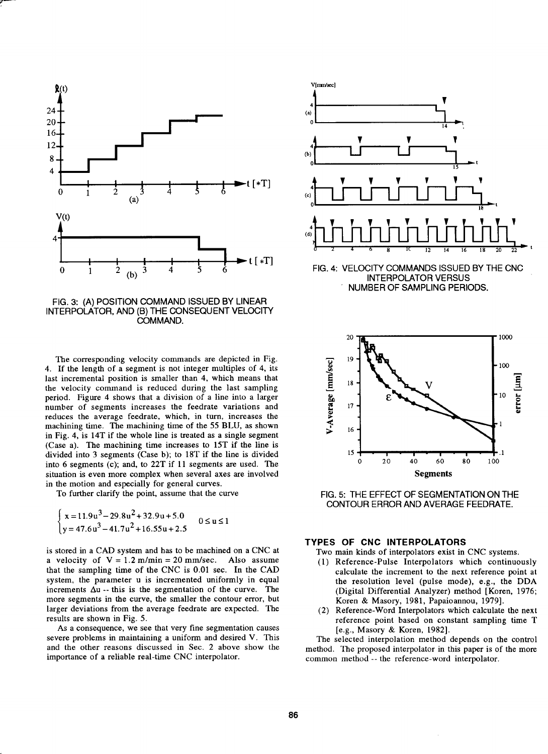

;r--

FIG. 3: (A) POSITION COMMAND ISSUED BY LINEAR INTERPOLATOR, AND (B) THE CONSEQUENT VELOCITY COMMAND.

The corresponding velocity commands are depicted in Fig. 4. If the length of a segment is not integer multiples of 4, its last incremental position is smaller than 4, which means that the velocity command is reduced during the last sampling period. Figure 4 shows that a division of a line into a larger number of segments increases the feedrate variations and reduces the average feedrate, which, in turn, increases the machining time. The machining time of the 55 BLU, as shown in Fig. 4, is 14T if the whole line is treated as a single segment (Case a). The machining time increases to 1ST if the line is divided into 3 segments (Case b); to 18T if the line is divided into 6 segments (c); and, to 22T if 11 segments are used. The situation is even more complex when several axes are involved in the motion and especially for general curves.

To further clarify the point, assume that the curve

$$
\begin{cases} x = 11.9u^3 - 29.8u^2 + 32.9u + 5.0 \\ y = 47.6u^3 - 41.7u^2 + 16.55u + 2.5 \end{cases}
$$
 0 \le u \le 1

is stored in a CAD system and has to be machined on a CNC at a velocity of  $V = 1.2$  m/min = 20 mm/sec. Also assume that the sampling time of the CNC is 0.01 sec. In the CAD system, the parameter u is incremented uniformly in equal increments  $\Delta u$  -- this is the segmentation of the curve. The more segments in the curve, the smaller the contour error, but larger deviations from the average feedrate are expected. The results are shown in Fig. 5.

As a consequence, we see that very fine segmentation causes severe problems in maintaining a uniform and desired V. This and the other reasons discussed in Sec. 2 above show the importance of a reliable real-time CNC interpolator.



FIG. 4: VELOCITY COMMANDS ISSUED BY THE CNC INTERPOLATOR VERSUS NUMBER OF SAMPLING PERIODS.



FIG. 5: THE EFFECT OF SEGMENTATION ON THE CONTOUR ERROR AND AVERAGE FEEDRATE.

### **TYPES OF CNC INTERPOLATORS**

Two main kinds of interpolators exist in CNC systems.

- ( 1) Reference-Pulse Interpolators which continuously calculate the increment to the next reference point at the resolution level (pulse mode), e.g., the DDA (Digital Differential Analyzer) method [Koren, 1976; Koren & Masory, 1981, Papaioannou, 1979].
- (2) Reference-Word Interpolators which calculate the next reference point based on constant sampling time T [e.g., Masory & Koren, 1982].

The selected interpolation method depends on the control method. The proposed interpolator in this paper is of the more common method-- the reference-word interpolator.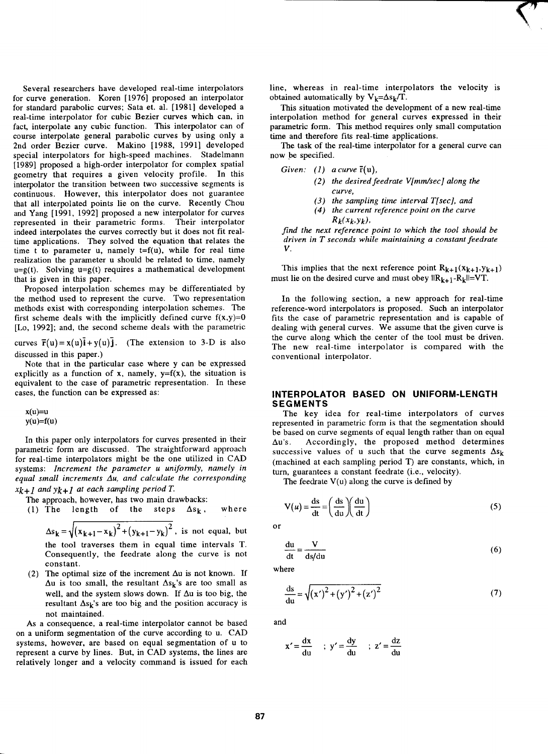Several researchers have developed real-time interpolators for curve generation. Koren [1976] proposed an interpolator for standard parabolic curves; Sata et. al. [1981] developed a real-time interpolator for cubic Bezier curves which can, in fact, interpolate any cubic function. This interpolator can of course interpolate general parabolic curves by using only a 2nd order Bezier curve. Makino [1988, 1991] developed special interpolators for high-speed machines. Stadelmann [1989] proposed a high-order interpolator for complex spatial geometry that requires a given velocity profile. In this interpolator the transition between two successive segments is continuous. However, this interpolator does not guarantee that all interpolated points lie on the curve. Recently Chou and Yang [1991, 1992] proposed a new interpolator for curves represented in their parametric forms. Their interpolator indeed interpolates the curves correctly but it does not fit realtime applications. They solved the equation that relates the time t to parameter u, namely  $t=f(u)$ , while for real time realization the parameter u should be related to time, namely  $u=g(t)$ . Solving  $u=g(t)$  requires a mathematical development that is given in this paper.

Proposed interpolation schemes may be differentiated by the method used to represent the curve. Two representation methods exist with corresponding interpolation schemes. The first scheme deals with the implicitly defined curve  $f(x,y)=0$ [Lo, 1992]; and, the second scheme deals with the parametric

curves  $\vec{r}(u) = x(u)\vec{i} + y(u)\vec{j}$ . (The extension to 3-D is also discussed in this paper.)

Note that in the particular case where y can be expressed explicitly as a function of x, namely,  $y=f(x)$ , the situation is equivalent to the case of parametric representation. In these cases, the function can be expressed as:

 $x(u)=u$  $y(u)=f(u)$ 

In this paper only interpolators for curves presented in their parametric form are discussed. The straightforward approach for real-time interpolators might be the one utilized in CAD systems: *Increment the parameter u uniformly, namely in equal small increments L1u, and calculate the corresponding Xk+l andyk+l at each sampling periodT.* 

The approach, however, has two main drawbacks:

(1) The length of the steps 
$$
\Delta s_k
$$
, where

 $\Delta s_k = \sqrt{(x_{k+1}-x_k)^2 + (y_{k+1}-y_k)^2}$ , is not equal, but the tool traverses them in equal time intervals T. Consequently, the feedrate along the curve is not constant.

(2) The optimal size of the increment  $\Delta u$  is not known. If  $\Delta u$  is too small, the resultant  $\Delta s_k$ 's are too small as well, and the system slows down. If  $\Delta u$  is too big, the resultant  $\Delta s_k$ 's are too big and the position accuracy is not maintained.

As a consequence, a real-time interpolator cannot be based on a uniform segmentation of the curve according to u. CAD systems, however, are based on equal segmentation of u to represent a curve by lines. But, in CAD systems, the lines are relatively longer and a velocity command is issued for each line, whereas in real-time interpolators the velocity is obtained automatically by  $V_k = \Delta s_k / T$ .

 $\bigwedge$ 

This situation motivated the development of a new real-time interpolation method for general curves expressed in their parametric form. This method requires only small computation time and therefore fits real-time applications.

The task of the real-time interpolator for a general curve can now be specified.

- *Given:* (1) *a curve*  $\bar{r}(u)$ ,
	- *(2) the desiredfeedrate V[mm/sec] along the curve,*
	- *( 3) the sampling time interval T[ sec], and*
	- *( 4) the current reference point on the curve*   $R_k(x_k,y_k)$ ,

*find the next reference point to which the tool should be driven in T seconds while maintaining a constant feedrate*  v.

This implies that the next reference point  $R_{k+1}(x_{k+1}, y_{k+1})$ must lie on the desired curve and must obey  $\|R_{k+1}-R_k\|=VT$ .

In the following section, a new approach for real-time reference-word interpolators is proposed. Such an interpolator fits the case of parametric representation and is capable of dealing with general curves. We assume that the given curve is the curve along which the center of the tool must be driven. The new real-time interpolator is compared with the conventional interpolator.

#### **INTERPOLATOR BASED ON UNIFORM-LENGTH SEGMENTS**

The key idea for real-time interpolators of curves represented in parametric form is that the segmentation should be based on curve segments of equal length rather than on equal  $\Delta u$ 's. Accordingly, the proposed method determines successive values of u such that the curve segments  $\Delta s_k$ (machined at each sampling period T) are constants, which, in turn, guarantees a constant feedrate (i.e., velocity).

The feedrate  $V(u)$  along the curve is defined by

$$
V(u) = \frac{ds}{dt} = \left(\frac{ds}{du}\right)\left(\frac{du}{dt}\right)
$$
 (5)

or

$$
\frac{\mathrm{du}}{\mathrm{dt}} = \frac{\mathbf{V}}{\mathrm{ds}/\mathrm{du}}\tag{6}
$$

where

$$
\frac{ds}{du} = \sqrt{(x')^2 + (y')^2 + (z')^2}
$$
 (7)

and

$$
x' = \frac{dx}{du} \quad ; \quad y' = \frac{dy}{du} \quad ; \quad z' = \frac{dz}{du}
$$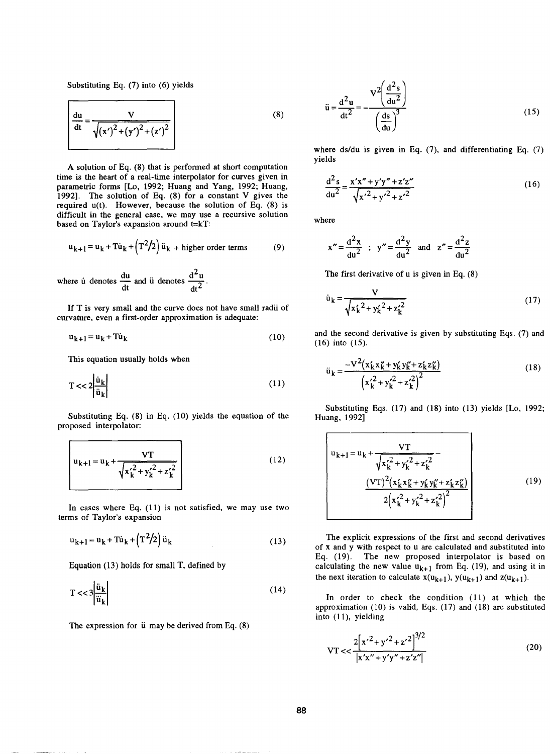Substituting Eq. (7) into (6) yields

$$
\frac{du}{dt} = \frac{V}{\sqrt{(x')^2 + (y')^2 + (z')^2}}
$$
(8)

A solution of Eq. (8) that is performed at short computation time is the heart of a real-time interpolator for curves given in parametric forms [Lo, 1992; Huang and Yang, 1992; Huang, 1992]. The solution of Eq. (8) for a constant V gives the required u(t). However, because the solution of Eq. (8) is difficult in the general case, we may use a recursive solution based on Taylor's expansion around t=kT:

$$
u_{k+1} = u_k + T\dot{u}_k + \left(T^2/2\right)\ddot{u}_k + \text{higher order terms} \tag{9}
$$

where u denotes  $\frac{du}{dt}$  and u denotes  $\frac{d^2u}{dt^2}$ .

If T is very small and the curve does not have small radii of curvature, even a first-order approximation is adequate:

$$
\mathbf{u}_{k+1} = \mathbf{u}_k + \mathbf{T} \dot{\mathbf{u}}_k \tag{10}
$$

This equation usually holds when

$$
T \ll 2 \left| \frac{\dot{u}_k}{\ddot{u}_k} \right| \tag{11}
$$

Substituting Eq. (8) in Eq. (10) yields the equation of the proposed interpolator:

$$
u_{k+1} = u_k + \frac{VT}{\sqrt{{x_k'}^2 + {y_k'}^2 + {z_k'}^2}}
$$
 (12)

In cases where Eq. (11) is not satisfied, we may use two terms of Taylor's expansion

$$
u_{k+1} = u_k + T\dot{u}_k + (T^2/2)\ddot{u}_k
$$
 (13)

Equation (13) holds for small T, defined by

$$
T << 3 \left| \frac{\ddot{u}_k}{\ddot{u}_k} \right| \tag{14}
$$

The expression for  $\ddot{u}$  may be derived from Eq. (8)

$$
\ddot{\mathbf{u}} = \frac{\mathbf{d}^2 \mathbf{u}}{\mathbf{d}t^2} = -\frac{\mathbf{V}^2 \left(\frac{\mathbf{d}^2 s}{\mathbf{d}u^2}\right)}{\left(\frac{\mathbf{ds}}{\mathbf{d}u}\right)^3}
$$
(15)

where ds/du is given in Eq. (7), and differentiating Eq. (7) yields

$$
\frac{d^2s}{du^2} = \frac{x'x'' + y'y'' + z'z''}{\sqrt{{x'}^2 + {y'}^2 + {z'}^2}}
$$
(16)

where

$$
x'' = \frac{d^2x}{du^2}
$$
;  $y'' = \frac{d^2y}{du^2}$  and  $z'' = \frac{d^2z}{du^2}$ 

The first derivative of u is given in Eq. (8)

$$
\dot{u}_{k} = \frac{V}{\sqrt{x_{k}^{2} + y_{k}^{2} + z_{k}^{2}}}
$$
(17)

and the second derivative is given by substituting Eqs. (7) and (16) into (15).

$$
\ddot{u}_{k} = \frac{-V^{2}(x_{k}'x_{k}'' + y_{k}'y_{k}'' + z_{k}'z_{k}'')}{(x_{k}'^{2} + y_{k}'^{2} + z_{k}'^{2})^{2}}
$$
(18)

Substituting Eqs. (17) and (18) into (13) yields [Lo, 1992; Huang, 1992]

$$
\begin{pmatrix}\nu_{k+1} = u_k + \frac{VT}{\sqrt{x_k'^2 + y_k'^2 + z_k'^2}} - \\ \frac{(VT)^2 (x_k' x_k' + y_k' y_k'' + z_k' z_k'')}{2(x_k'^2 + y_k'^2 + z_k'^2)^2}\n\end{pmatrix}
$$
\n(19)

The explicit expressions of the first and second derivatives of x and y with respect to u are calculated and substituted into Eq. (19). The new proposed interpolator is based on calculating the new value  $u_{k+1}$  from Eq. (19), and using it in the next iteration to calculate  $x(u_{k+1}), y(u_{k+1})$  and  $z(u_{k+1}).$ 

In order to check the condition  $(11)$  at which the approximation (10) is valid, Eqs. (17) and (18) are substituted into (11), yielding

$$
VT << \frac{2[x'^2 + y'^2 + z'^2]^{3/2}}{|x'x'' + y'y'' + z'z''|}
$$
 (20)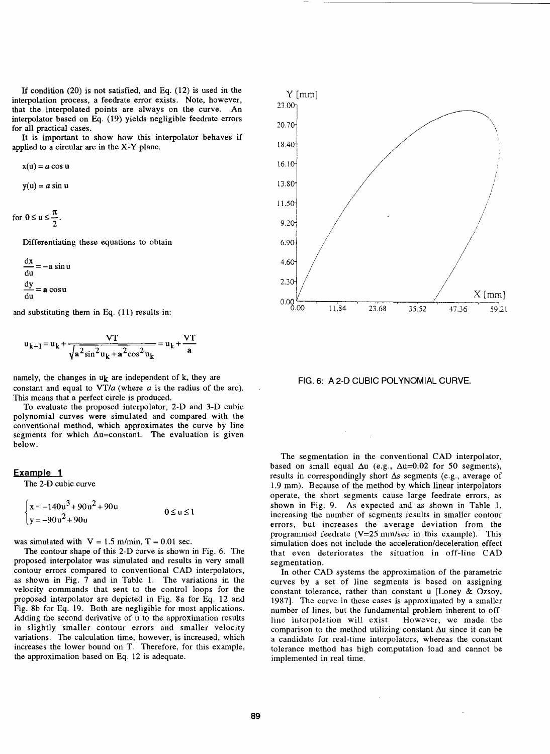If condition (20) is not satisfied, and Eq. (12) is used in the interpolation process, a feedrate error exists. Note, however, that the interpolated points are always on the curve. An interpolator based on Eq. (19) yields negligible feedrate errors for all practical cases.

It is important to show how this interpolator behaves if applied to a circular arc in the X-Y plane.

$$
x(u) = a \cos u
$$

 $y(u) = a \sin u$ 

for  $0 \le u \le \frac{\pi}{2}$ .

Differentiating these equations to obtain

$$
\frac{dx}{du} = -a \sin u
$$

$$
\frac{dy}{du} = a \cos u
$$

and substituting them in Eq. (11) results in:

$$
u_{k+1} = u_k + \frac{VT}{\sqrt{a^2 \sin^2 u_k + a^2 \cos^2 u_k}} = u_k + \frac{VT}{a}
$$

namely, the changes in  $u_k$  are independent of k, they are constant and equal to VT/a (where *a* is the radius of the arc). This means that a perfect circle is produced.

To evaluate the proposed interpolator, 2-D and 3-D cubic polynomial curves were simulated and compared with the conventional method, which approximates the curve by line segments for which  $\Delta u = constant$ . The evaluation is given below.

### **Example 1**

The 2-D cubic curve

$$
\begin{cases} x = -140u^3 + 90u^2 + 90u \\ y = -90u^2 + 90u \end{cases}
$$
 0 \le u \le 1

was simulated with  $V = 1.5$  m/min,  $T = 0.01$  sec.

The contour shape of this 2-D curve is shown in Fig. 6. The proposed interpolator was simulated and results in very small contour errors compared to conventional CAD interpolators, as shown in Fig. 7 and in Table 1. The variations in the velocity commands that sent to the control loops for the proposed interpolator are depicted in Fig. 8a for Eq. 12 and Fig. 8b for Eq. 19. Both are negligible for most applications. Adding the second derivative of u to the approximation results in slightly smaller contour errors and smaller velocity variations. The calculation time, however, is increased, which increases the lower bound on T. Therefore, for this example, the approximation based on Eq. 12 is adequate.



FIG. 6: A 2-D CUBIC POLYNOMIAL CURVE.

The segmentation in the conventional CAD interpolator, based on small equal  $\Delta u$  (e.g.,  $\Delta u$ =0.02 for 50 segments), results in correspondingly short  $\Delta s$  segments (e.g., average of 1.9 mm). Because of the method by which linear interpolators operate, the short segments cause large feedrate errors, as shown in Fig. 9. As expected and as shown in Table 1, increasing the number of segments results in smaller contour errors, but increases the average deviation from the programmed feedrate  $(V=25 \text{ mm/sec}$  in this example). This simulation does not include the acceleration/deceleration effect that even deteriorates the situation in off-line CAD segmentation.

In other CAD systems the approximation of the parametric curves by a set of line segments is based on assigning constant tolerance, rather than constant u [Loney & Ozsoy, 1987]. The curve in these cases is approximated by a smaller number of lines, but the fundamental problem inherent to offline interpolation will exist. However, we made the comparison to the method utilizing constant  $\Delta u$  since it can be a candidate for real-time interpolators, whereas the constant tolerance method has high computation load and cannot be implemented in real time.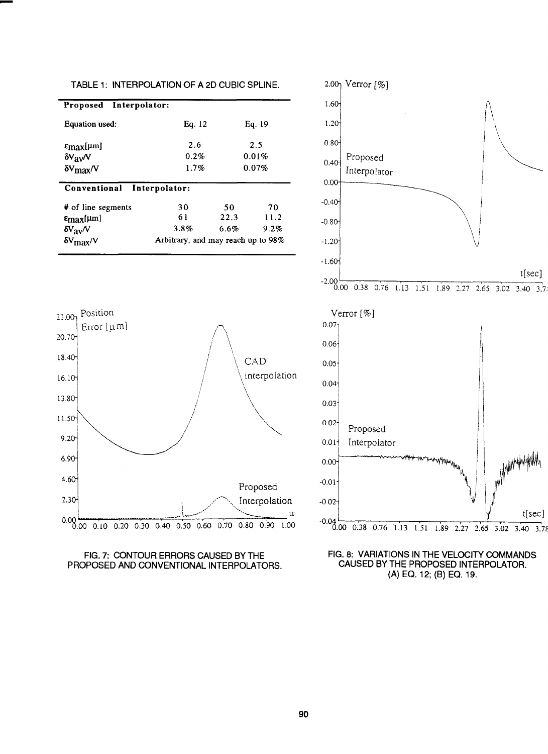| Proposed Interpolator:     |                                    |        |         |  |  |
|----------------------------|------------------------------------|--------|---------|--|--|
| Equation used:             | Eq. 12                             | Eq. 19 |         |  |  |
| $\epsilon_{\rm max}$ [µm]  | 2.6                                | 2.5    |         |  |  |
| $\delta V_{\rm av}N$       | $0.2\%$                            | 0.01%  |         |  |  |
| $\delta V_{\rm max}/V$     | 1.7%                               | 0.07%  |         |  |  |
| Conventional Interpolator: |                                    |        |         |  |  |
| # of line segments         | 30                                 | 50     | 70      |  |  |
| $\epsilon_{\rm max}$ [µm]  | 61                                 | 22.3   | 11.2    |  |  |
| $\delta V_{\rm av}N$       | 3.8%                               | 6.6%   | $9.2\%$ |  |  |
| $\delta V_{\rm max}/V$     | Arbitrary, and may reach up to 98% |        |         |  |  |

TABLE 1: INTERPOLATION OF A 2D CUBIC SPLINE.

-





FIG. 7: CONTOUR ERRORS CAUSED BY THE PROPOSED AND CONVENTIONAL INTERPOLATORS.

FIG. 8: VARIATIONS IN THE VELOCITY COMMANDS CAUSED BY THE PROPOSED INTERPOLATOR. {A) EO. 12; {B) EO. 19.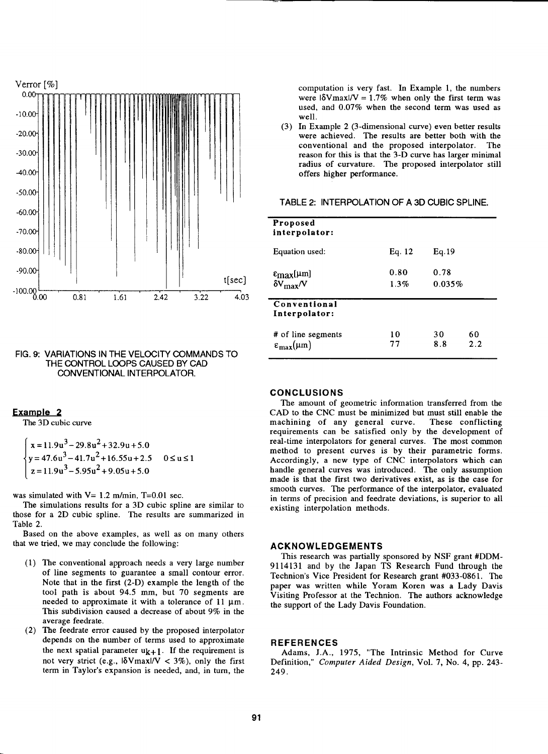

#### FIG. 9: VARIATIONS IN THE VELOCITY COMMANDS TO THE CONTROL LOOPS CAUSED BY CAD CONVENTIONAL INTERPOLATOR.

## **Example 2**

The 3D cubic curve

$$
\begin{cases}\n x = 11.9u^3 - 29.8u^2 + 32.9u + 5.0 \\
y = 47.6u^3 - 41.7u^2 + 16.55u + 2.5 \quad 0 \le u \le 1 \\
z = 11.9u^3 - 5.95u^2 + 9.05u + 5.0\n\end{cases}
$$

was simulated with  $V= 1.2$  m/min, T=0.01 sec.

The simulations results for a 3D cubic spline are similar to those for a 2D cubic spline. The results are summarized in Table 2.

Based on the above examples, as well as on many others that we tried, we may conclude the following:

- ( 1) The conventional approach needs a very large number of line segments to guarantee a small contour error. Note that in the first (2-D) example the length of the tool path is about 94.5 mm, but 70 segments are needed to approximate it with a tolerance of  $11 \mu m$ . This subdivision caused a decrease of about 9% in the average feedrate.
- (2) The feedrate error caused by the proposed interpolator depends on the number of terms used to approximate the next spatial parameter  $u_{k+1}$ . If the requirement is not very strict (e.g.,  $|\delta V_{\text{max}}|/V| < 3\%$ ), only the first term in Taylor's expansion is needed, and, in tum, the

computation is very fast. In Example 1, the numbers were  $|\delta V \text{max}|/V = 1.7\%$  when only the first term was used, and 0.07% when the second term was used as well.

(3) In Example 2 (3-dimensional curve) even better results were achieved. The results are better both with the conventional and the proposed interpolator. The reason for this is that the 3-D curve has larger minimal radius of curvature. The proposed interpolator still offers higher performance.

## TABLE 2: INTERPOLATION OF A 3D CUBIC SPLINE.

| Proposed<br>interpolator:                               |              |                |           |
|---------------------------------------------------------|--------------|----------------|-----------|
| Equation used:                                          | Eq. 12       | Eq. 19         |           |
| $ε_{max}$ [μm]<br>$\delta V_{\rm max}/V$                | 0.80<br>1.3% | 0.78<br>0.035% |           |
| Conventional<br>Interpolator:                           |              |                |           |
| # of line segments<br>$\varepsilon_{\text{max}}(\mu m)$ | 10<br>77     | 30<br>8.8      | 60<br>2.2 |

#### **CONCLUSIONS**

The amount of geometric information transferred from the CAD to the CNC must be minimized but must still enable the machining of any general curve. These conflicting machining of any general curve. requirements can be satisfied only by the development of real-time interpolators for general curves. The most common method to present curves is by their parametric forms. Accordingly, a new type of CNC interpolators which can handle general curves was introduced. The only assumption made is that the first two derivatives exist, as is the case for smooth curves. The performance of the interpolator, evaluated in terms of precision and feedrate deviations, is superior to all existing interpolation methods.

#### **ACKNOWLEDGEMENTS**

This research was partially sponsored by NSF grant #DDM-9114131 and by the Japan TS Research Fund through the Technion's Vice President for Research grant #033-0861. The paper was written while Yoram Koren was a Lady Davis Visiting Professor at the Technion. The authors acknowledge the support of the Lady Davis Foundation.

#### **REFERENCES**

Adams, J.A., 1975, "The Intrinsic Method for Curve Definition," *Computer Aided Design,* Vol. 7, No. 4, pp. 243- 249.